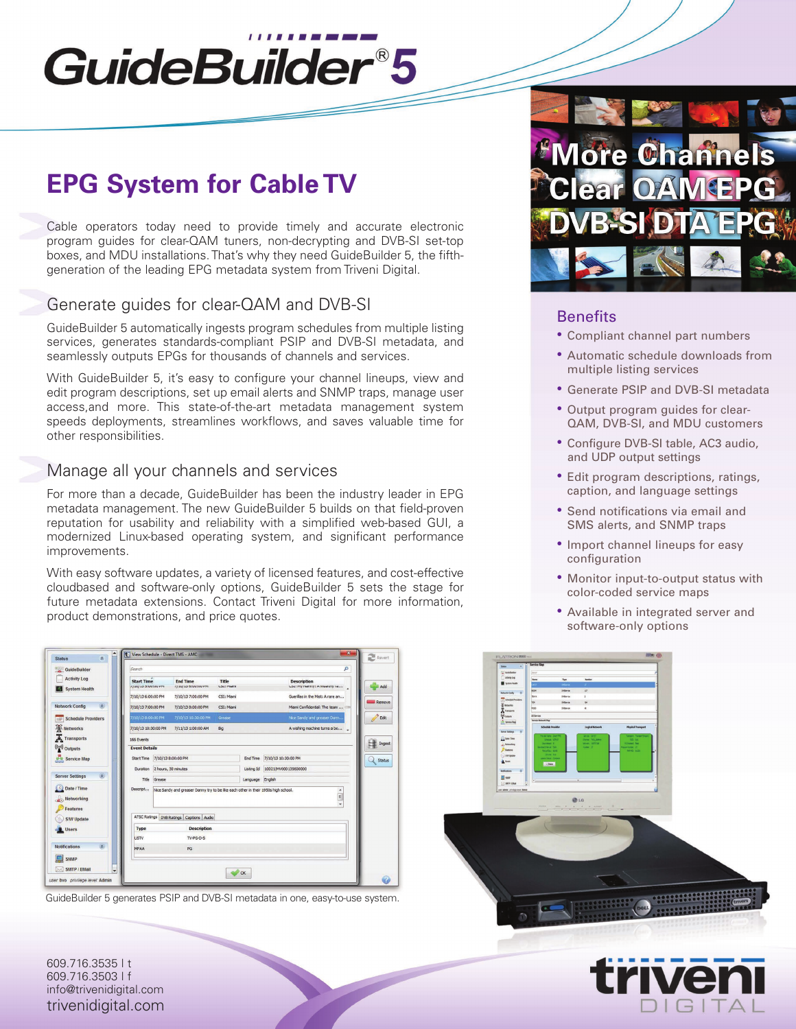# GuideBuilder®5

# **EPG System for Cable TV**

Cable operators today need to provide timely and accurate electronic program guides for clear-QAM tuners, non-decrypting and DVB-SI set-top boxes, and MDU installations.That's why they need GuideBuilder 5, the fifthgeneration of the leading EPG metadata system from Triveni Digital.

# Generate guides for clear-QAM and DVB-SI

GuideBuilder 5 automatically ingests program schedules from multiple listing services, generates standards-compliant PSIP and DVB-SI metadata, and seamlessly outputs EPGs for thousands of channels and services.

With GuideBuilder 5, it's easy to configure your channel lineups, view and edit program descriptions, set up email alerts and SNMP traps, manage user access,and more. This state-of-the-art metadata management system speeds deployments, streamlines workflows, and saves valuable time for other responsibilities.

# Manage all your channels and services

For more than a decade, GuideBuilder has been the industry leader in EPG metadata management. The new GuideBuilder 5 builds on that field-proven reputation for usability and reliability with a simplified web-based GUI, a modernized Linux-based operating system, and significant performance improvements.

With easy software updates, a variety of licensed features, and cost-effective cloudbased and software-only options, GuideBuilder 5 sets the stage for future metadata extensions. Contact Triveni Digital for more information, product demonstrations, and price quotes.

| GuideBuilder                                 | Search                        |                     |                                                                                    |            |                  |                                  | Q      |
|----------------------------------------------|-------------------------------|---------------------|------------------------------------------------------------------------------------|------------|------------------|----------------------------------|--------|
| <b>Activity Log</b>                          | <b>Start Time</b>             |                     | <b>End Time</b>                                                                    | Title      |                  | <b>Description</b>               |        |
| <b>System Health</b><br>PW I                 | 7) 10/15 Studiou PPI          |                     | <b>IT INTED OR ANY HALF</b>                                                        | Cour main  |                  | Cost my nettry: A weekity re     | ×      |
|                                              | 7/10/13 6:00:00 PM            |                     | 7/10/13 7:00:00 PM                                                                 | CSI: Miami |                  | Guerillas in the Mist: A rare an | Remove |
| 反<br><b>Network Config</b>                   | 7/10/13 7:00:00 PM            |                     | 7/10/13 8:00:00 PM                                                                 | CSI: Mami  |                  | Miami Confidential: The team     |        |
| <b>Schedule Providers</b><br><b>HIGH</b>     | 7/10/13 8:00:00 PM            |                     | 7/10/13 10:30:00 PM                                                                | Grease     |                  | Nice Sandy and greaser Dann      |        |
| Networks                                     | 7/10/13 10:30:00 PM           |                     | 7/11/13 1:00:00 AM                                                                 | Big        |                  | A wishing machine turns a bo __  |        |
| <b>K</b> Transports                          | 166 Events                    |                     |                                                                                    |            |                  |                                  |        |
| $\binom{(n)}{4}$ Outputs                     | <b>Event Details</b>          |                     |                                                                                    |            |                  |                                  | Ingest |
| www Service Map                              | Start Time 7/10/13 8:00:00 PM |                     |                                                                                    |            | End Time         | 7/10/13 10:30:00 PM              | Status |
|                                              | Duration                      | 2 hours, 30 minutes |                                                                                    |            | Listing Id       | 10021lMV000135600000             |        |
| $\hat{\mathbf{x}}$<br><b>Server Settings</b> | Title                         | Grease              |                                                                                    |            | Language English |                                  |        |
| Date / Time                                  | Descript                      |                     | Nice Sandy and greaser Danny try to be like each other in their 1950s high school. |            |                  |                                  |        |
| Networking                                   |                               |                     |                                                                                    |            |                  | $\frac{1}{2}$                    |        |
| Features                                     |                               |                     |                                                                                    |            |                  |                                  |        |
| <b>S/W Update</b>                            |                               |                     | ATSC Ratings DVB Ratings Captions Audio                                            |            |                  |                                  |        |
|                                              | <b>Type</b>                   |                     | <b>Description</b>                                                                 |            |                  |                                  |        |
| Users                                        |                               |                     |                                                                                    |            |                  |                                  |        |
|                                              | <b>USTV</b>                   |                     | TV-PG-D-S                                                                          |            |                  |                                  |        |
| 会<br><b>Notifications</b>                    | <b>MPAA</b>                   |                     | PG                                                                                 |            |                  |                                  |        |
| SNMP                                         |                               |                     |                                                                                    |            |                  |                                  |        |
| SMTP / EMail<br>M<br>٧                       |                               |                     |                                                                                    |            |                  |                                  |        |

GuideBuilder 5 generates PSIP and DVB-SI metadata in one, easy-to-use system.



### **Benefits**

- Compliant channel part numbers
- Automatic schedule downloads from multiple listing services
- Generate PSIP and DVB-SI metadata
- Output program guides for clear-QAM, DVB-SI, and MDU customers
- Configure DVB-SI table, AC3 audio, and UDP output settings
- Edit program descriptions, ratings, caption, and language settings
- Send notifications via email and SMS alerts, and SNMP traps
- Import channel lineups for easy configuration
- Monitor input-to-output status with color-coded service maps
- Available in integrated server and software-only options





609.716.3535 | t 609.716.3503 | f info@trivenidigital.com trivenidigital.com